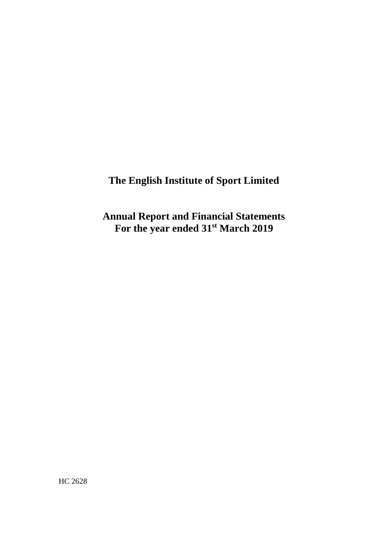**Annual Report and Financial Statements For the year ended 31st March 2019**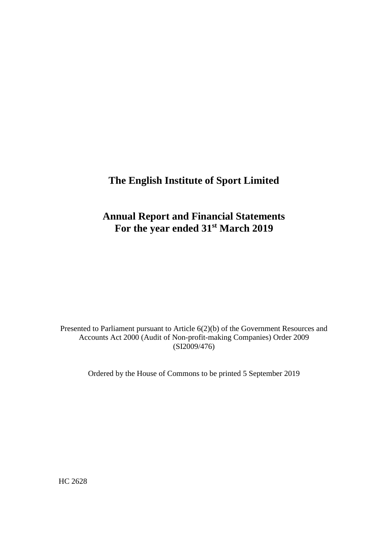# **Annual Report and Financial Statements For the year ended 31st March 2019**

Presented to Parliament pursuant to Article 6(2)(b) of the Government Resources and Accounts Act 2000 (Audit of Non-profit-making Companies) Order 2009 (SI2009/476)

Ordered by the House of Commons to be printed 5 September 2019

HC 2628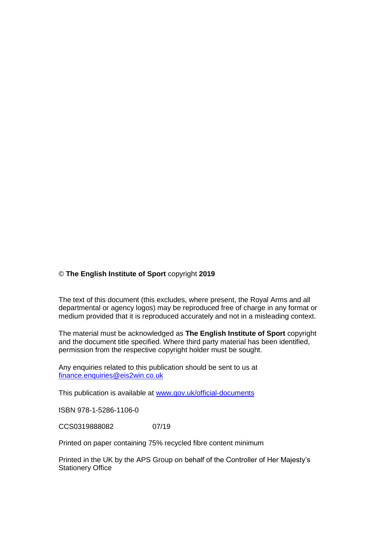## © **The English Institute of Sport** copyright **2019**

The text of this document (this excludes, where present, the Royal Arms and all departmental or agency logos) may be reproduced free of charge in any format or medium provided that it is reproduced accurately and not in a misleading context.

The material must be acknowledged as **The English Institute of Sport** copyright and the document title specified. Where third party material has been identified, permission from the respective copyright holder must be sought.

Any enquiries related to this publication should be sent to us at [finance.enquiries@eis2win.co.uk](mailto:finance.enquiries@eis2win.co.uk)

This publication is available at [www.gov.uk/official-documents](http://www.gov.uk/official-documents)

ISBN 978-1-5286-1106-0

CCS0319888082 07/19

Printed on paper containing 75% recycled fibre content minimum

Printed in the UK by the APS Group on behalf of the Controller of Her Majesty's Stationery Office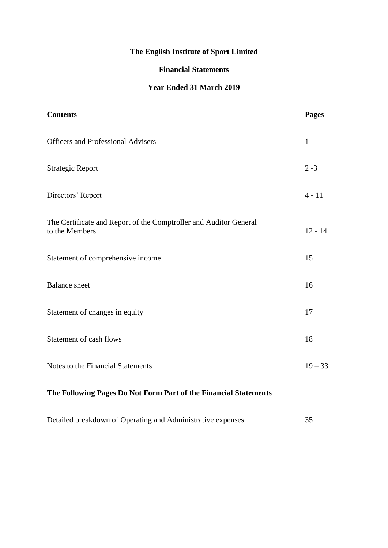# **Financial Statements**

# **Year Ended 31 March 2019**

| <b>Contents</b>                                                                     | <b>Pages</b> |
|-------------------------------------------------------------------------------------|--------------|
| <b>Officers and Professional Advisers</b>                                           | $\mathbf{1}$ |
| <b>Strategic Report</b>                                                             | $2 - 3$      |
| Directors' Report                                                                   | $4 - 11$     |
| The Certificate and Report of the Comptroller and Auditor General<br>to the Members | $12 - 14$    |
| Statement of comprehensive income                                                   | 15           |
| <b>Balance</b> sheet                                                                | 16           |
| Statement of changes in equity                                                      | 17           |
| Statement of cash flows                                                             | 18           |
| Notes to the Financial Statements                                                   | $19 - 33$    |

# **The Following Pages Do Not Form Part of the Financial Statements**

| Detailed breakdown of Operating and Administrative expenses |  |
|-------------------------------------------------------------|--|
|-------------------------------------------------------------|--|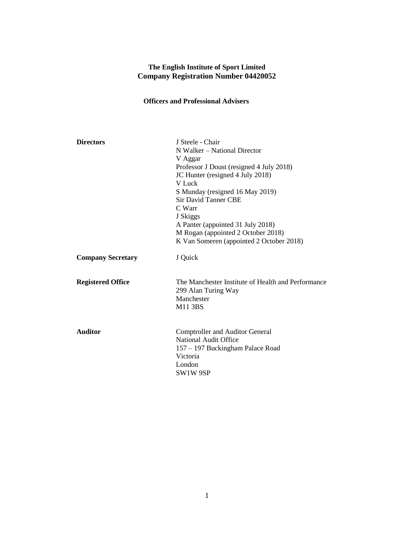## **The English Institute of Sport Limited Company Registration Number 04420052**

# **Officers and Professional Advisers**

| <b>Directors</b>         | J Steele - Chair<br>N Walker – National Director<br>V Aggar<br>Professor J Doust (resigned 4 July 2018)<br>JC Hunter (resigned 4 July 2018)<br><b>V</b> Luck<br>S Munday (resigned 16 May 2019)<br><b>Sir David Tanner CBE</b><br>C Warr<br>J Skiggs<br>A Panter (appointed 31 July 2018)<br>M Rogan (appointed 2 October 2018)<br>K Van Someren (appointed 2 October 2018) |
|--------------------------|-----------------------------------------------------------------------------------------------------------------------------------------------------------------------------------------------------------------------------------------------------------------------------------------------------------------------------------------------------------------------------|
| <b>Company Secretary</b> | J Quick                                                                                                                                                                                                                                                                                                                                                                     |
| <b>Registered Office</b> | The Manchester Institute of Health and Performance<br>299 Alan Turing Way<br>Manchester<br>M11 3BS                                                                                                                                                                                                                                                                          |
| <b>Auditor</b>           | <b>Comptroller and Auditor General</b><br><b>National Audit Office</b><br>157 - 197 Buckingham Palace Road<br>Victoria<br>London<br>SW1W 9SP                                                                                                                                                                                                                                |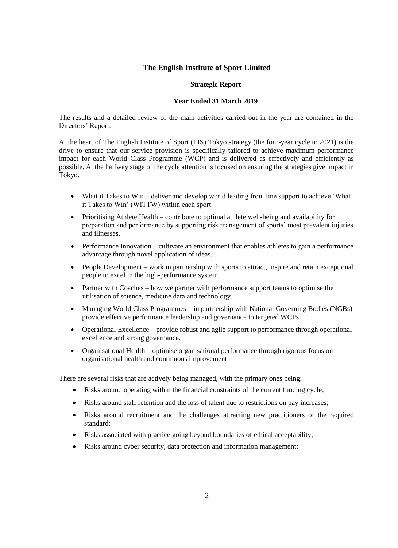#### **Strategic Report**

#### **Year Ended 31 March 2019**

The results and a detailed review of the main activities carried out in the year are contained in the Directors' Report.

At the heart of The English Institute of Sport (EIS) Tokyo strategy (the four-year cycle to 2021) is the drive to ensure that our service provision is specifically tailored to achieve maximum performance impact for each World Class Programme (WCP) and is delivered as effectively and efficiently as possible. At the halfway stage of the cycle attention is focused on ensuring the strategies give impact in Tokyo.

- What it Takes to Win deliver and develop world leading front line support to achieve 'What it Takes to Win' (WITTW) within each sport.
- Prioritising Athlete Health contribute to optimal athlete well-being and availability for preparation and performance by supporting risk management of sports' most prevalent injuries and illnesses.
- Performance Innovation cultivate an environment that enables athletes to gain a performance advantage through novel application of ideas.
- People Development work in partnership with sports to attract, inspire and retain exceptional people to excel in the high-performance system.
- Partner with Coaches how we partner with performance support teams to optimise the utilisation of science, medicine data and technology.
- Managing World Class Programmes in partnership with National Governing Bodies (NGBs) provide effective performance leadership and governance to targeted WCPs.
- Operational Excellence provide robust and agile support to performance through operational excellence and strong governance.
- Organisational Health optimise organisational performance through rigorous focus on organisational health and continuous improvement.

There are several risks that are actively being managed, with the primary ones being:

- Risks around operating within the financial constraints of the current funding cycle;
- Risks around staff retention and the loss of talent due to restrictions on pay increases;
- Risks around recruitment and the challenges attracting new practitioners of the required standard;
- Risks associated with practice going beyond boundaries of ethical acceptability;
- Risks around cyber security, data protection and information management: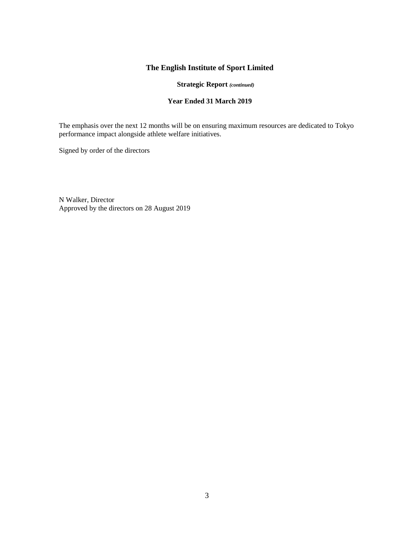## **Strategic Report** *(continued)*

## **Year Ended 31 March 2019**

The emphasis over the next 12 months will be on ensuring maximum resources are dedicated to Tokyo performance impact alongside athlete welfare initiatives.

Signed by order of the directors

N Walker, Director Approved by the directors on 28 August 2019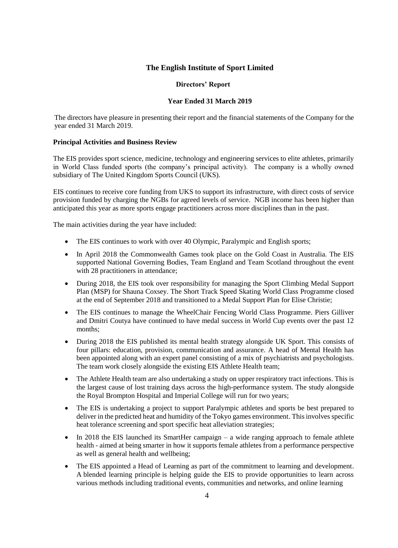#### **Directors' Report**

#### **Year Ended 31 March 2019**

The directors have pleasure in presenting their report and the financial statements of the Company for the year ended 31 March 2019.

#### **Principal Activities and Business Review**

The EIS provides sport science, medicine, technology and engineering services to elite athletes, primarily in World Class funded sports (the company's principal activity). The company is a wholly owned subsidiary of The United Kingdom Sports Council (UKS).

EIS continues to receive core funding from UKS to support its infrastructure, with direct costs of service provision funded by charging the NGBs for agreed levels of service. NGB income has been higher than anticipated this year as more sports engage practitioners across more disciplines than in the past.

The main activities during the year have included:

- The EIS continues to work with over 40 Olympic, Paralympic and English sports;
- In April 2018 the Commonwealth Games took place on the Gold Coast in Australia. The EIS supported National Governing Bodies, Team England and Team Scotland throughout the event with 28 practitioners in attendance:
- During 2018, the EIS took over responsibility for managing the Sport Climbing Medal Support Plan (MSP) for Shauna Coxsey. The Short Track Speed Skating World Class Programme closed at the end of September 2018 and transitioned to a Medal Support Plan for Elise Christie;
- The EIS continues to manage the WheelChair Fencing World Class Programme. Piers Gilliver and Dmitri Coutya have continued to have medal success in World Cup events over the past 12 months;
- During 2018 the EIS published its mental health strategy alongside UK Sport. This consists of four pillars: education, provision, communication and assurance. A head of Mental Health has been appointed along with an expert panel consisting of a mix of psychiatrists and psychologists. The team work closely alongside the existing EIS Athlete Health team;
- The Athlete Health team are also undertaking a study on upper respiratory tract infections. This is the largest cause of lost training days across the high-performance system. The study alongside the Royal Brompton Hospital and Imperial College will run for two years;
- The EIS is undertaking a project to support Paralympic athletes and sports be best prepared to deliver in the predicted heat and humidity of the Tokyo games environment. This involves specific heat tolerance screening and sport specific heat alleviation strategies;
- In 2018 the EIS launched its SmartHer campaign a wide ranging approach to female athlete health - aimed at being smarter in how it supports female athletes from a performance perspective as well as general health and wellbeing;
- The EIS appointed a Head of Learning as part of the commitment to learning and development. A blended learning principle is helping guide the EIS to provide opportunities to learn across various methods including traditional events, communities and networks, and online learning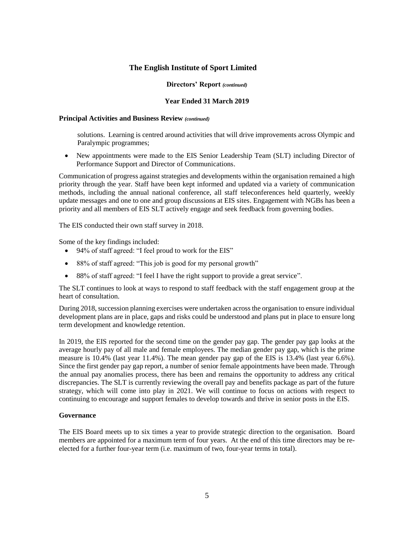#### **Directors' Report** *(continued)*

#### **Year Ended 31 March 2019**

#### **Principal Activities and Business Review** *(continued)*

solutions. Learning is centred around activities that will drive improvements across Olympic and Paralympic programmes;

• New appointments were made to the EIS Senior Leadership Team (SLT) including Director of Performance Support and Director of Communications.

Communication of progress against strategies and developments within the organisation remained a high priority through the year. Staff have been kept informed and updated via a variety of communication methods, including the annual national conference, all staff teleconferences held quarterly, weekly update messages and one to one and group discussions at EIS sites. Engagement with NGBs has been a priority and all members of EIS SLT actively engage and seek feedback from governing bodies.

The EIS conducted their own staff survey in 2018.

Some of the key findings included:

- 94% of staff agreed: "I feel proud to work for the EIS"
- 88% of staff agreed: "This job is good for my personal growth"
- 88% of staff agreed: "I feel I have the right support to provide a great service".

The SLT continues to look at ways to respond to staff feedback with the staff engagement group at the heart of consultation.

During 2018, succession planning exercises were undertaken across the organisation to ensure individual development plans are in place, gaps and risks could be understood and plans put in place to ensure long term development and knowledge retention.

In 2019, the EIS reported for the second time on the gender pay gap. The gender pay gap looks at the average hourly pay of all male and female employees. The median gender pay gap, which is the prime measure is 10.4% (last year 11.4%). The mean gender pay gap of the EIS is 13.4% (last year 6.6%). Since the first gender pay gap report, a number of senior female appointments have been made. Through the annual pay anomalies process, there has been and remains the opportunity to address any critical discrepancies. The SLT is currently reviewing the overall pay and benefits package as part of the future strategy, which will come into play in 2021. We will continue to focus on actions with respect to continuing to encourage and support females to develop towards and thrive in senior posts in the EIS.

#### **Governance**

The EIS Board meets up to six times a year to provide strategic direction to the organisation. Board members are appointed for a maximum term of four years. At the end of this time directors may be reelected for a further four-year term (i.e. maximum of two, four-year terms in total).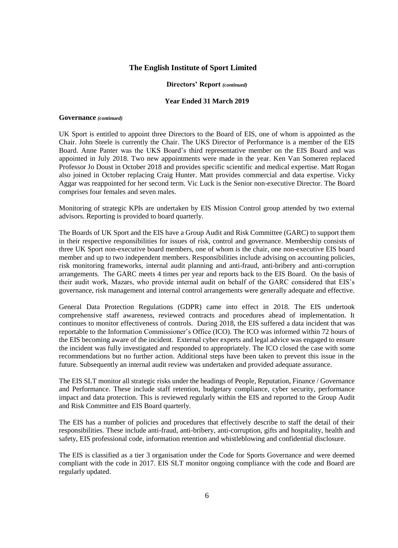#### **Directors' Report** *(continued)*

#### **Year Ended 31 March 2019**

#### **Governance** *(continued)*

UK Sport is entitled to appoint three Directors to the Board of EIS, one of whom is appointed as the Chair. John Steele is currently the Chair. The UKS Director of Performance is a member of the EIS Board. Anne Panter was the UKS Board's third representative member on the EIS Board and was appointed in July 2018. Two new appointments were made in the year. Ken Van Someren replaced Professor Jo Doust in October 2018 and provides specific scientific and medical expertise. Matt Rogan also joined in October replacing Craig Hunter. Matt provides commercial and data expertise. Vicky Aggar was reappointed for her second term. Vic Luck is the Senior non-executive Director. The Board comprises four females and seven males.

Monitoring of strategic KPIs are undertaken by EIS Mission Control group attended by two external advisors. Reporting is provided to board quarterly.

The Boards of UK Sport and the EIS have a Group Audit and Risk Committee (GARC) to support them in their respective responsibilities for issues of risk, control and governance. Membership consists of three UK Sport non-executive board members, one of whom is the chair, one non-executive EIS board member and up to two independent members. Responsibilities include advising on accounting policies, risk monitoring frameworks, internal audit planning and anti-fraud, anti-bribery and anti-corruption arrangements. The GARC meets 4 times per year and reports back to the EIS Board. On the basis of their audit work, Mazars, who provide internal audit on behalf of the GARC considered that EIS's governance, risk management and internal control arrangements were generally adequate and effective.

General Data Protection Regulations (GDPR) came into effect in 2018. The EIS undertook comprehensive staff awareness, reviewed contracts and procedures ahead of implementation. It continues to monitor effectiveness of controls. During 2018, the EIS suffered a data incident that was reportable to the Information Commissioner's Office (ICO). The ICO was informed within 72 hours of the EIS becoming aware of the incident. External cyber experts and legal advice was engaged to ensure the incident was fully investigated and responded to appropriately. The ICO closed the case with some recommendations but no further action. Additional steps have been taken to prevent this issue in the future. Subsequently an internal audit review was undertaken and provided adequate assurance.

The EIS SLT monitor all strategic risks under the headings of People, Reputation, Finance / Governance and Performance. These include staff retention, budgetary compliance, cyber security, performance impact and data protection. This is reviewed regularly within the EIS and reported to the Group Audit and Risk Committee and EIS Board quarterly.

The EIS has a number of policies and procedures that effectively describe to staff the detail of their responsibilities. These include anti-fraud, anti-bribery, anti-corruption, gifts and hospitality, health and safety, EIS professional code, information retention and whistleblowing and confidential disclosure.

The EIS is classified as a tier 3 organisation under the Code for Sports Governance and were deemed compliant with the code in 2017. EIS SLT monitor ongoing compliance with the code and Board are regularly updated.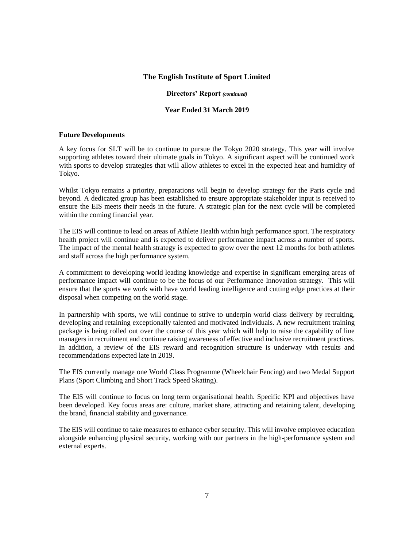#### **Directors' Report** *(continued)*

#### **Year Ended 31 March 2019**

#### **Future Developments**

A key focus for SLT will be to continue to pursue the Tokyo 2020 strategy. This year will involve supporting athletes toward their ultimate goals in Tokyo. A significant aspect will be continued work with sports to develop strategies that will allow athletes to excel in the expected heat and humidity of Tokyo.

Whilst Tokyo remains a priority, preparations will begin to develop strategy for the Paris cycle and beyond. A dedicated group has been established to ensure appropriate stakeholder input is received to ensure the EIS meets their needs in the future. A strategic plan for the next cycle will be completed within the coming financial year.

The EIS will continue to lead on areas of Athlete Health within high performance sport. The respiratory health project will continue and is expected to deliver performance impact across a number of sports. The impact of the mental health strategy is expected to grow over the next 12 months for both athletes and staff across the high performance system.

A commitment to developing world leading knowledge and expertise in significant emerging areas of performance impact will continue to be the focus of our Performance Innovation strategy. This will ensure that the sports we work with have world leading intelligence and cutting edge practices at their disposal when competing on the world stage.

In partnership with sports, we will continue to strive to underpin world class delivery by recruiting, developing and retaining exceptionally talented and motivated individuals. A new recruitment training package is being rolled out over the course of this year which will help to raise the capability of line managers in recruitment and continue raising awareness of effective and inclusive recruitment practices. In addition, a review of the EIS reward and recognition structure is underway with results and recommendations expected late in 2019.

The EIS currently manage one World Class Programme (Wheelchair Fencing) and two Medal Support Plans (Sport Climbing and Short Track Speed Skating).

The EIS will continue to focus on long term organisational health. Specific KPI and objectives have been developed. Key focus areas are: culture, market share, attracting and retaining talent, developing the brand, financial stability and governance.

The EIS will continue to take measures to enhance cyber security. This will involve employee education alongside enhancing physical security, working with our partners in the high-performance system and external experts.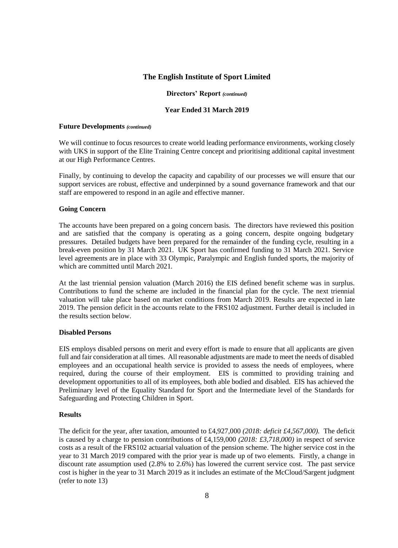#### **Directors' Report** *(continued)*

#### **Year Ended 31 March 2019**

#### **Future Developments** *(continued)*

We will continue to focus resources to create world leading performance environments, working closely with UKS in support of the Elite Training Centre concept and prioritising additional capital investment at our High Performance Centres.

Finally, by continuing to develop the capacity and capability of our processes we will ensure that our support services are robust, effective and underpinned by a sound governance framework and that our staff are empowered to respond in an agile and effective manner.

#### **Going Concern**

The accounts have been prepared on a going concern basis. The directors have reviewed this position and are satisfied that the company is operating as a going concern, despite ongoing budgetary pressures. Detailed budgets have been prepared for the remainder of the funding cycle, resulting in a break-even position by 31 March 2021. UK Sport has confirmed funding to 31 March 2021. Service level agreements are in place with 33 Olympic, Paralympic and English funded sports, the majority of which are committed until March 2021.

At the last triennial pension valuation (March 2016) the EIS defined benefit scheme was in surplus. Contributions to fund the scheme are included in the financial plan for the cycle. The next triennial valuation will take place based on market conditions from March 2019. Results are expected in late 2019. The pension deficit in the accounts relate to the FRS102 adjustment. Further detail is included in the results section below.

#### **Disabled Persons**

EIS employs disabled persons on merit and every effort is made to ensure that all applicants are given full and fair consideration at all times. All reasonable adjustments are made to meet the needs of disabled employees and an occupational health service is provided to assess the needs of employees, where required, during the course of their employment. EIS is committed to providing training and development opportunities to all of its employees, both able bodied and disabled. EIS has achieved the Preliminary level of the Equality Standard for Sport and the Intermediate level of the Standards for Safeguarding and Protecting Children in Sport.

#### **Results**

The deficit for the year, after taxation, amounted to £4,927,000 *(2018: deficit £4,567,000).* The deficit is caused by a charge to pension contributions of £4,159,000 *(2018: £3,718,000)* in respect of service costs as a result of the FRS102 actuarial valuation of the pension scheme. The higher service cost in the year to 31 March 2019 compared with the prior year is made up of two elements. Firstly, a change in discount rate assumption used (2.8% to 2.6%) has lowered the current service cost. The past service cost is higher in the year to 31 March 2019 as it includes an estimate of the McCloud/Sargent judgment (refer to note 13)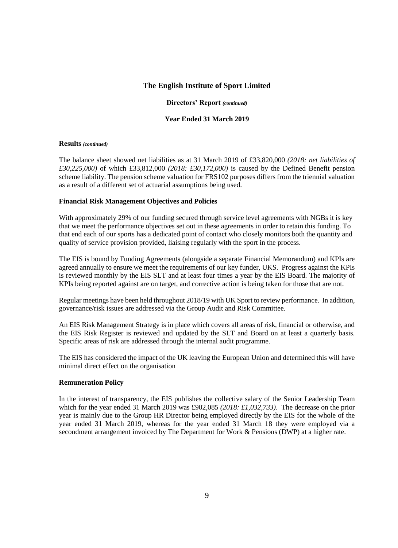#### **Directors' Report** *(continued)*

#### **Year Ended 31 March 2019**

#### **Results** *(continued)*

The balance sheet showed net liabilities as at 31 March 2019 of £33,820,000 *(2018: net liabilities of £30,225,000)* of which £33,812,000 *(2018: £30,172,000)* is caused by the Defined Benefit pension scheme liability. The pension scheme valuation for FRS102 purposes differs from the triennial valuation as a result of a different set of actuarial assumptions being used.

#### **Financial Risk Management Objectives and Policies**

With approximately 29% of our funding secured through service level agreements with NGBs it is key that we meet the performance objectives set out in these agreements in order to retain this funding. To that end each of our sports has a dedicated point of contact who closely monitors both the quantity and quality of service provision provided, liaising regularly with the sport in the process.

The EIS is bound by Funding Agreements (alongside a separate Financial Memorandum) and KPIs are agreed annually to ensure we meet the requirements of our key funder, UKS. Progress against the KPIs is reviewed monthly by the EIS SLT and at least four times a year by the EIS Board. The majority of KPIs being reported against are on target, and corrective action is being taken for those that are not.

Regular meetings have been held throughout 2018/19 with UK Sport to review performance. In addition, governance/risk issues are addressed via the Group Audit and Risk Committee.

An EIS Risk Management Strategy is in place which covers all areas of risk, financial or otherwise, and the EIS Risk Register is reviewed and updated by the SLT and Board on at least a quarterly basis. Specific areas of risk are addressed through the internal audit programme.

The EIS has considered the impact of the UK leaving the European Union and determined this will have minimal direct effect on the organisation

#### **Remuneration Policy**

In the interest of transparency, the EIS publishes the collective salary of the Senior Leadership Team which for the year ended 31 March 2019 was £902,085 *(2018: £1,032,733)*. The decrease on the prior year is mainly due to the Group HR Director being employed directly by the EIS for the whole of the year ended 31 March 2019, whereas for the year ended 31 March 18 they were employed via a secondment arrangement invoiced by The Department for Work & Pensions (DWP) at a higher rate.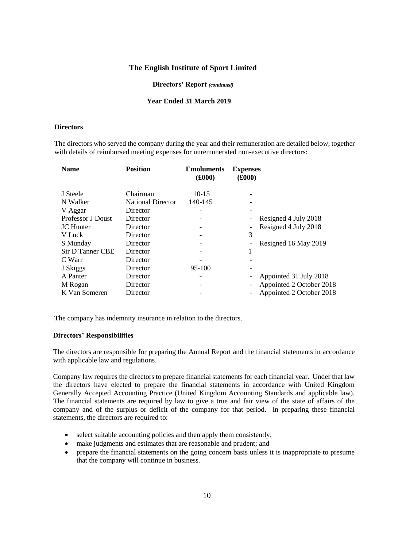#### **Directors' Report** *(continued)*

#### **Year Ended 31 March 2019**

#### **Directors**

The directors who served the company during the year and their remuneration are detailed below, together with details of reimbursed meeting expenses for unremunerated non-executive directors:

| <b>Name</b>       | <b>Position</b>          | <b>Emoluments</b><br>(6000) | <b>Expenses</b><br>(0.000) |                          |
|-------------------|--------------------------|-----------------------------|----------------------------|--------------------------|
| J Steele          | Chairman                 | $10-15$                     |                            |                          |
| N Walker          | <b>National Director</b> | 140-145                     |                            |                          |
| V Aggar           | Director                 |                             |                            |                          |
| Professor J Doust | Director                 |                             |                            | Resigned 4 July 2018     |
| <b>JC</b> Hunter  | Director                 |                             |                            | Resigned 4 July 2018     |
| V Luck            | Director                 |                             | 3                          |                          |
| S Munday          | Director                 |                             |                            | Resigned 16 May 2019     |
| Sir D Tanner CBE  | Director                 |                             |                            |                          |
| C Warr            | Director                 |                             |                            |                          |
| J Skiggs          | Director                 | 95-100                      |                            |                          |
| A Panter          | Director                 |                             |                            | Appointed 31 July 2018   |
| M Rogan           | Director                 |                             |                            | Appointed 2 October 2018 |
| K Van Someren     | Director                 |                             |                            | Appointed 2 October 2018 |
|                   |                          |                             |                            |                          |

The company has indemnity insurance in relation to the directors.

#### **Directors' Responsibilities**

The directors are responsible for preparing the Annual Report and the financial statements in accordance with applicable law and regulations.

Company law requires the directors to prepare financial statements for each financial year. Under that law the directors have elected to prepare the financial statements in accordance with United Kingdom Generally Accepted Accounting Practice (United Kingdom Accounting Standards and applicable law). The financial statements are required by law to give a true and fair view of the state of affairs of the company and of the surplus or deficit of the company for that period. In preparing these financial statements, the directors are required to:

- select suitable accounting policies and then apply them consistently;
- make judgments and estimates that are reasonable and prudent; and
- prepare the financial statements on the going concern basis unless it is inappropriate to presume that the company will continue in business.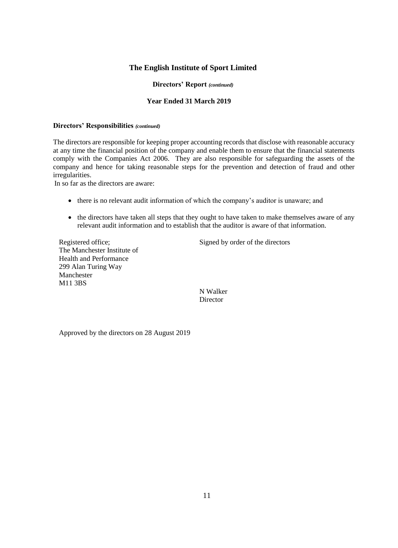#### **Directors' Report** *(continued)*

#### **Year Ended 31 March 2019**

#### **Directors' Responsibilities** *(continued)*

The directors are responsible for keeping proper accounting records that disclose with reasonable accuracy at any time the financial position of the company and enable them to ensure that the financial statements comply with the Companies Act 2006. They are also responsible for safeguarding the assets of the company and hence for taking reasonable steps for the prevention and detection of fraud and other irregularities.

In so far as the directors are aware:

- there is no relevant audit information of which the company's auditor is unaware; and
- the directors have taken all steps that they ought to have taken to make themselves aware of any relevant audit information and to establish that the auditor is aware of that information.

The Manchester Institute of Health and Performance 299 Alan Turing Way Manchester M11 3BS

Registered office; Signed by order of the directors

N Walker Director

Approved by the directors on 28 August 2019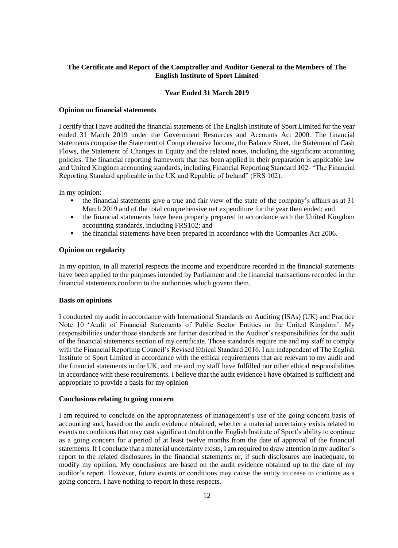## **The Certificate and Report of the Comptroller and Auditor General to the Members of The English Institute of Sport Limited**

#### **Year Ended 31 March 2019**

#### **Opinion on financial statements**

I certify that I have audited the financial statements of The English Institute of Sport Limited for the year ended 31 March 2019 under the Government Resources and Accounts Act 2000. The financial statements comprise the Statement of Comprehensive Income, the Balance Sheet, the Statement of Cash Flows, the Statement of Changes in Equity and the related notes, including the significant accounting policies. The financial reporting framework that has been applied in their preparation is applicable law and United Kingdom accounting standards, including Financial Reporting Standard 102- "The Financial Reporting Standard applicable in the UK and Republic of Ireland" (FRS 102).

In my opinion:

- the financial statements give a true and fair view of the state of the company's affairs as at 31 March 2019 and of the total comprehensive net expenditure for the year then ended; and
- the financial statements have been properly prepared in accordance with the United Kingdom accounting standards, including FRS102; and
- the financial statements have been prepared in accordance with the Companies Act 2006.

#### **Opinion on regularity**

In my opinion, in all material respects the income and expenditure recorded in the financial statements have been applied to the purposes intended by Parliament and the financial transactions recorded in the financial statements conform to the authorities which govern them.

#### **Basis on opinions**

I conducted my audit in accordance with International Standards on Auditing (ISAs) (UK) and Practice Note 10 'Audit of Financial Statements of Public Sector Entities in the United Kingdom'. My responsibilities under those standards are further described in the Auditor's responsibilities for the audit of the financial statements section of my certificate. Those standards require me and my staff to comply with the Financial Reporting Council's Revised Ethical Standard 2016. I am independent of The English Institute of Sport Limited in accordance with the ethical requirements that are relevant to my audit and the financial statements in the UK, and me and my staff have fulfilled our other ethical responsibilities in accordance with these requirements. I believe that the audit evidence I have obtained is sufficient and appropriate to provide a basis for my opinion

#### **Conclusions relating to going concern**

I am required to conclude on the appropriateness of management's use of the going concern basis of accounting and, based on the audit evidence obtained, whether a material uncertainty exists related to events or conditions that may cast significant doubt on the English Institute of Sport's ability to continue as a going concern for a period of at least twelve months from the date of approval of the financial statements. If I conclude that a material uncertainty exists, I am required to draw attention in my auditor's report to the related disclosures in the financial statements or, if such disclosures are inadequate, to modify my opinion. My conclusions are based on the audit evidence obtained up to the date of my auditor's report. However, future events or conditions may cause the entity to cease to continue as a going concern. I have nothing to report in these respects.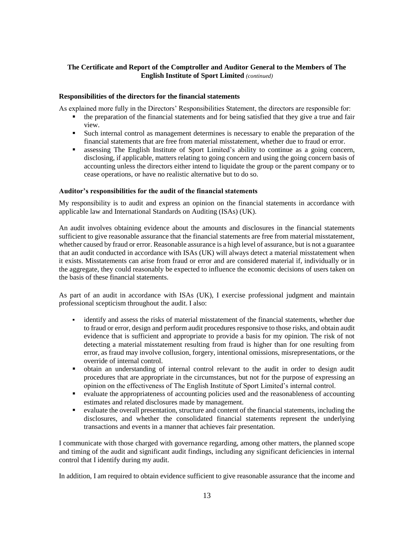## **The Certificate and Report of the Comptroller and Auditor General to the Members of The English Institute of Sport Limited** *(continued)*

#### **Responsibilities of the directors for the financial statements**

As explained more fully in the Directors' Responsibilities Statement, the directors are responsible for:

- the preparation of the financial statements and for being satisfied that they give a true and fair view.
- Such internal control as management determines is necessary to enable the preparation of the financial statements that are free from material misstatement, whether due to fraud or error.
- assessing The English Institute of Sport Limited's ability to continue as a going concern, disclosing, if applicable, matters relating to going concern and using the going concern basis of accounting unless the directors either intend to liquidate the group or the parent company or to cease operations, or have no realistic alternative but to do so.

#### **Auditor's responsibilities for the audit of the financial statements**

My responsibility is to audit and express an opinion on the financial statements in accordance with applicable law and International Standards on Auditing (ISAs) (UK).

An audit involves obtaining evidence about the amounts and disclosures in the financial statements sufficient to give reasonable assurance that the financial statements are free from material misstatement, whether caused by fraud or error. Reasonable assurance is a high level of assurance, but is not a guarantee that an audit conducted in accordance with ISAs (UK) will always detect a material misstatement when it exists. Misstatements can arise from fraud or error and are considered material if, individually or in the aggregate, they could reasonably be expected to influence the economic decisions of users taken on the basis of these financial statements.

As part of an audit in accordance with ISAs (UK), I exercise professional judgment and maintain professional scepticism throughout the audit. I also:

- identify and assess the risks of material misstatement of the financial statements, whether due to fraud or error, design and perform audit procedures responsive to those risks, and obtain audit evidence that is sufficient and appropriate to provide a basis for my opinion. The risk of not detecting a material misstatement resulting from fraud is higher than for one resulting from error, as fraud may involve collusion, forgery, intentional omissions, misrepresentations, or the override of internal control.
- obtain an understanding of internal control relevant to the audit in order to design audit procedures that are appropriate in the circumstances, but not for the purpose of expressing an opinion on the effectiveness of The English Institute of Sport Limited's internal control.
- evaluate the appropriateness of accounting policies used and the reasonableness of accounting estimates and related disclosures made by management.
- evaluate the overall presentation, structure and content of the financial statements, including the disclosures, and whether the consolidated financial statements represent the underlying transactions and events in a manner that achieves fair presentation.

I communicate with those charged with governance regarding, among other matters, the planned scope and timing of the audit and significant audit findings, including any significant deficiencies in internal control that I identify during my audit.

In addition, I am required to obtain evidence sufficient to give reasonable assurance that the income and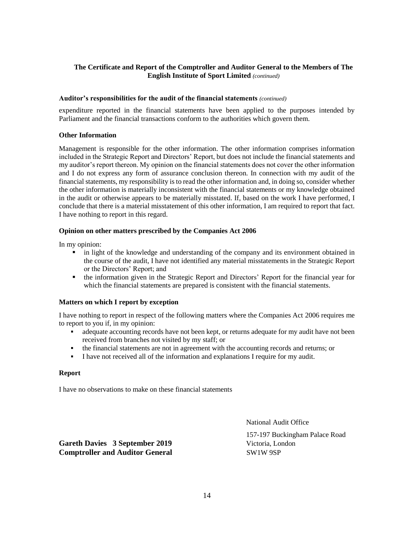## **The Certificate and Report of the Comptroller and Auditor General to the Members of The English Institute of Sport Limited** *(continued)*

#### **Auditor's responsibilities for the audit of the financial statements** *(continued)*

expenditure reported in the financial statements have been applied to the purposes intended by Parliament and the financial transactions conform to the authorities which govern them.

#### **Other Information**

Management is responsible for the other information. The other information comprises information included in the Strategic Report and Directors' Report, but does not include the financial statements and my auditor's report thereon. My opinion on the financial statements does not cover the other information and I do not express any form of assurance conclusion thereon. In connection with my audit of the financial statements, my responsibility is to read the other information and, in doing so, consider whether the other information is materially inconsistent with the financial statements or my knowledge obtained in the audit or otherwise appears to be materially misstated. If, based on the work I have performed, I conclude that there is a material misstatement of this other information, I am required to report that fact. I have nothing to report in this regard.

#### **Opinion on other matters prescribed by the Companies Act 2006**

In my opinion:

- in light of the knowledge and understanding of the company and its environment obtained in the course of the audit, I have not identified any material misstatements in the Strategic Report or the Directors' Report; and
- the information given in the Strategic Report and Directors' Report for the financial year for which the financial statements are prepared is consistent with the financial statements.

#### **Matters on which I report by exception**

I have nothing to report in respect of the following matters where the Companies Act 2006 requires me to report to you if, in my opinion:

- adequate accounting records have not been kept, or returns adequate for my audit have not been received from branches not visited by my staff; or
- the financial statements are not in agreement with the accounting records and returns; or
- I have not received all of the information and explanations I require for my audit.

#### **Report**

I have no observations to make on these financial statements

National Audit Office

157-197 Buckingham Palace Road

**Gareth Davies 3 September 2019** Victoria, London **Comptroller and Auditor General**  SW1W 9SP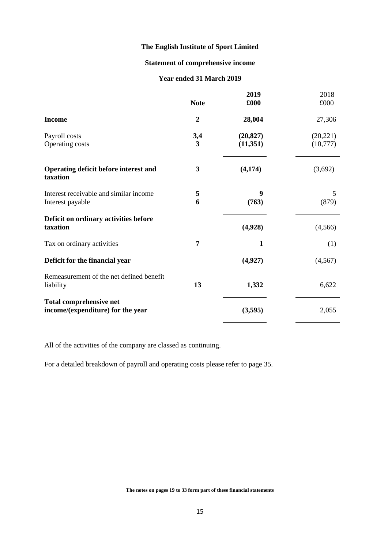## **Statement of comprehensive income**

## **Year ended 31 March 2019**

|                                                                     | <b>Note</b>                    | 2019<br>£000          | 2018<br>£000          |
|---------------------------------------------------------------------|--------------------------------|-----------------------|-----------------------|
| <b>Income</b>                                                       | $\boldsymbol{2}$               | 28,004                | 27,306                |
| Payroll costs<br>Operating costs                                    | 3,4<br>$\overline{\mathbf{3}}$ | (20, 827)<br>(11,351) | (20, 221)<br>(10,777) |
| Operating deficit before interest and<br>taxation                   | 3                              | (4,174)               | (3,692)               |
| Interest receivable and similar income<br>Interest payable          | 5<br>6                         | 9<br>(763)            | 5<br>(879)            |
| Deficit on ordinary activities before<br>taxation                   |                                | (4,928)               | (4,566)               |
| Tax on ordinary activities                                          | 7                              | $\mathbf{1}$          | (1)                   |
| Deficit for the financial year                                      |                                | (4,927)               | (4, 567)              |
| Remeasurement of the net defined benefit<br>liability               | 13                             | 1,332                 | 6,622                 |
| <b>Total comprehensive net</b><br>income/(expenditure) for the year |                                | (3,595)               | 2,055                 |

All of the activities of the company are classed as continuing.

For a detailed breakdown of payroll and operating costs please refer to page 35.

**The notes on pages 19 to 33 form part of these financial statements**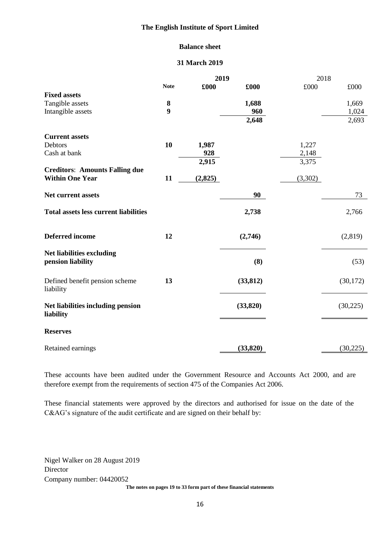## **Balance sheet**

### **31 March 2019**

|                                                |             | 2019    |           | 2018    |           |
|------------------------------------------------|-------------|---------|-----------|---------|-----------|
|                                                | <b>Note</b> | £000    | £000      | £000    | £000      |
| <b>Fixed assets</b>                            |             |         |           |         |           |
| Tangible assets                                | 8           |         | 1,688     |         | 1,669     |
| Intangible assets                              | 9           |         | 960       |         | 1,024     |
|                                                |             |         | 2,648     |         | 2,693     |
| <b>Current assets</b>                          |             |         |           |         |           |
| Debtors                                        | 10          | 1,987   |           | 1,227   |           |
| Cash at bank                                   |             | 928     |           | 2,148   |           |
|                                                |             | 2,915   |           | 3,375   |           |
| <b>Creditors: Amounts Falling due</b>          |             |         |           |         |           |
| <b>Within One Year</b>                         | 11          | (2,825) |           | (3,302) |           |
|                                                |             |         |           |         |           |
| Net current assets                             |             |         | 90        |         | 73        |
| <b>Total assets less current liabilities</b>   |             |         | 2,738     |         | 2,766     |
| <b>Deferred</b> income                         | 12          |         | (2,746)   |         | (2,819)   |
| <b>Net liabilities excluding</b>               |             |         |           |         |           |
| pension liability                              |             |         | (8)       |         | (53)      |
| Defined benefit pension scheme<br>liability    | 13          |         | (33, 812) |         | (30,172)  |
| Net liabilities including pension<br>liability |             |         | (33, 820) |         | (30, 225) |
| <b>Reserves</b>                                |             |         |           |         |           |
| Retained earnings                              |             |         | (33,820)  |         | (30,225)  |

These accounts have been audited under the Government Resource and Accounts Act 2000, and are therefore exempt from the requirements of section 475 of the Companies Act 2006.

These financial statements were approved by the directors and authorised for issue on the date of the C&AG's signature of the audit certificate and are signed on their behalf by:

Nigel Walker on 28 August 2019 Director Company number: 04420052 **The notes on pages 19 to 33 form part of these financial statements**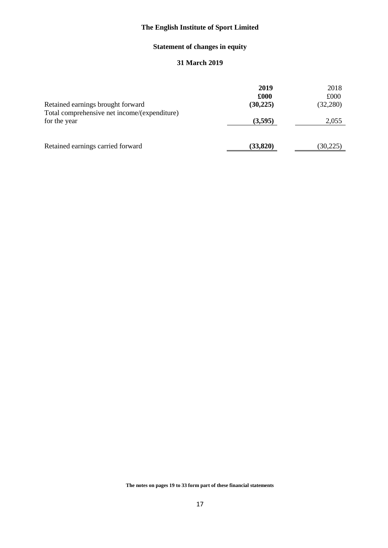## **Statement of changes in equity**

## **31 March 2019**

|                                              | 2019      | 2018      |
|----------------------------------------------|-----------|-----------|
|                                              | £000      | £000      |
| Retained earnings brought forward            | (30, 225) | (32, 280) |
| Total comprehensive net income/(expenditure) |           |           |
| for the year                                 | (3,595)   | 2,055     |
|                                              |           |           |
| Retained earnings carried forward            | (33, 820) | (30,225)  |

**The notes on pages 19 to 33 form part of these financial statements**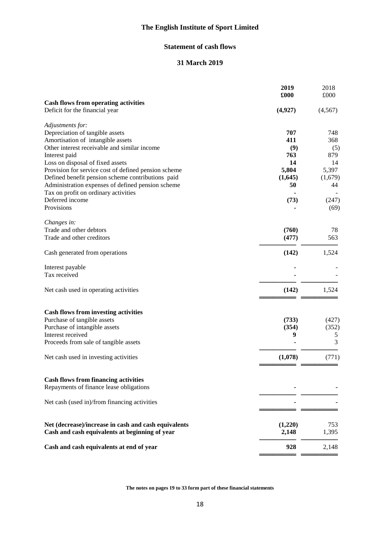## **Statement of cash flows**

## **31 March 2019**

|                                                                                          | 2019<br>£000 | 2018<br>£000   |
|------------------------------------------------------------------------------------------|--------------|----------------|
| <b>Cash flows from operating activities</b>                                              |              |                |
| Deficit for the financial year                                                           | (4,927)      | (4, 567)       |
| Adjustments for:                                                                         |              |                |
| Depreciation of tangible assets                                                          | 707          | 748            |
| Amortisation of intangible assets                                                        | 411          | 368            |
| Other interest receivable and similar income                                             | (9)          | (5)            |
| Interest paid                                                                            | 763          | 879            |
| Loss on disposal of fixed assets<br>Provision for service cost of defined pension scheme | 14<br>5,804  | 14<br>5,397    |
| Defined benefit pension scheme contributions paid                                        | (1,645)      | (1,679)        |
| Administration expenses of defined pension scheme                                        | 50           | 44             |
| Tax on profit on ordinary activities                                                     |              |                |
| Deferred income                                                                          | (73)         | (247)          |
| Provisions                                                                               |              | (69)           |
| Changes in:                                                                              |              |                |
| Trade and other debtors                                                                  | (760)        | 78             |
| Trade and other creditors                                                                | (477)        | 563            |
| Cash generated from operations                                                           | (142)        | 1,524          |
| Interest payable                                                                         |              |                |
| Tax received                                                                             |              |                |
| Net cash used in operating activities                                                    | (142)        | 1,524          |
| <b>Cash flows from investing activities</b>                                              |              |                |
| Purchase of tangible assets                                                              | (733)        | (427)          |
| Purchase of intangible assets                                                            | (354)        | (352)          |
| Interest received                                                                        | 9            | $\mathfrak{S}$ |
| Proceeds from sale of tangible assets                                                    |              | 3              |
| Net cash used in investing activities                                                    | (1,078)      | (771)          |
| <b>Cash flows from financing activities</b>                                              |              |                |
| Repayments of finance lease obligations                                                  |              |                |
| Net cash (used in)/from financing activities                                             |              |                |
| Net (decrease)/increase in cash and cash equivalents                                     | (1,220)      | 753            |
| Cash and cash equivalents at beginning of year                                           | 2,148        | 1,395          |
| Cash and cash equivalents at end of year                                                 | 928          | 2,148          |
|                                                                                          |              |                |

**The notes on pages 19 to 33 form part of these financial statements**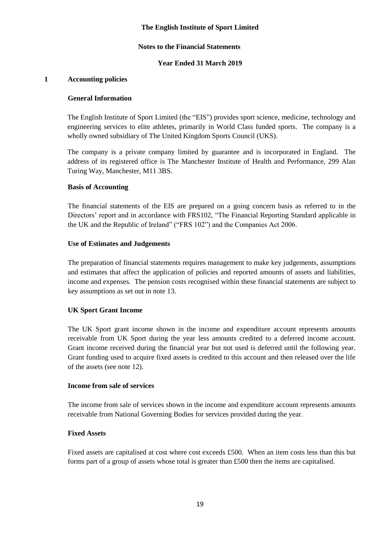## **Notes to the Financial Statements**

## **Year Ended 31 March 2019**

## **1 Accounting policies**

## **General Information**

The English Institute of Sport Limited (the "EIS") provides sport science, medicine, technology and engineering services to elite athletes, primarily in World Class funded sports. The company is a wholly owned subsidiary of The United Kingdom Sports Council (UKS).

The company is a private company limited by guarantee and is incorporated in England. The address of its registered office is The Manchester Institute of Health and Performance, 299 Alan Turing Way, Manchester, M11 3BS.

## **Basis of Accounting**

The financial statements of the EIS are prepared on a going concern basis as referred to in the Directors' report and in accordance with FRS102, "The Financial Reporting Standard applicable in the UK and the Republic of Ireland" ("FRS 102") and the Companies Act 2006.

## **Use of Estimates and Judgements**

The preparation of financial statements requires management to make key judgements, assumptions and estimates that affect the application of policies and reported amounts of assets and liabilities, income and expenses. The pension costs recognised within these financial statements are subject to key assumptions as set out in note 13.

## **UK Sport Grant Income**

The UK Sport grant income shown in the income and expenditure account represents amounts receivable from UK Sport during the year less amounts credited to a deferred income account. Grant income received during the financial year but not used is deferred until the following year. Grant funding used to acquire fixed assets is credited to this account and then released over the life of the assets (see note 12).

#### **Income from sale of services**

The income from sale of services shown in the income and expenditure account represents amounts receivable from National Governing Bodies for services provided during the year.

## **Fixed Assets**

Fixed assets are capitalised at cost where cost exceeds £500. When an item costs less than this but forms part of a group of assets whose total is greater than £500 then the items are capitalised.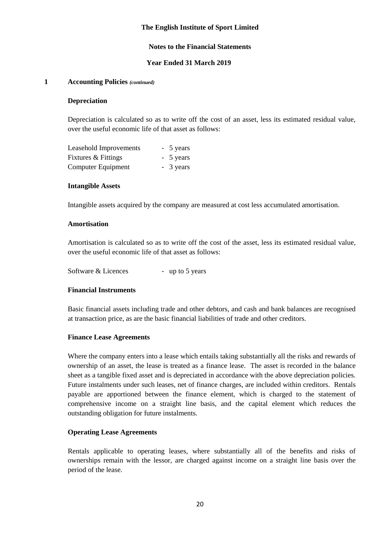#### **Notes to the Financial Statements**

### **Year Ended 31 March 2019**

### **1 Accounting Policies** *(continued)*

#### **Depreciation**

Depreciation is calculated so as to write off the cost of an asset, less its estimated residual value, over the useful economic life of that asset as follows:

| Leasehold Improvements | - 5 years |
|------------------------|-----------|
| Fixtures & Fittings    | - 5 years |
| Computer Equipment     | - 3 years |

#### **Intangible Assets**

Intangible assets acquired by the company are measured at cost less accumulated amortisation.

#### **Amortisation**

Amortisation is calculated so as to write off the cost of the asset, less its estimated residual value, over the useful economic life of that asset as follows:

| Software & Licences |  | up to 5 years |
|---------------------|--|---------------|
|---------------------|--|---------------|

#### **Financial Instruments**

Basic financial assets including trade and other debtors, and cash and bank balances are recognised at transaction price, as are the basic financial liabilities of trade and other creditors.

#### **Finance Lease Agreements**

Where the company enters into a lease which entails taking substantially all the risks and rewards of ownership of an asset, the lease is treated as a finance lease. The asset is recorded in the balance sheet as a tangible fixed asset and is depreciated in accordance with the above depreciation policies. Future instalments under such leases, net of finance charges, are included within creditors. Rentals payable are apportioned between the finance element, which is charged to the statement of comprehensive income on a straight line basis, and the capital element which reduces the outstanding obligation for future instalments.

#### **Operating Lease Agreements**

Rentals applicable to operating leases, where substantially all of the benefits and risks of ownerships remain with the lessor, are charged against income on a straight line basis over the period of the lease.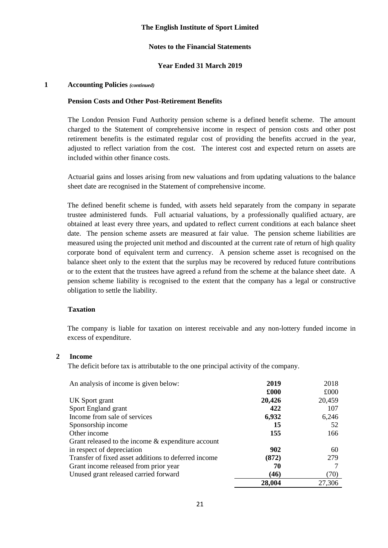## **Notes to the Financial Statements**

#### **Year Ended 31 March 2019**

#### **1 Accounting Policies** *(continued)*

#### **Pension Costs and Other Post-Retirement Benefits**

The London Pension Fund Authority pension scheme is a defined benefit scheme. The amount charged to the Statement of comprehensive income in respect of pension costs and other post retirement benefits is the estimated regular cost of providing the benefits accrued in the year, adjusted to reflect variation from the cost. The interest cost and expected return on assets are included within other finance costs.

Actuarial gains and losses arising from new valuations and from updating valuations to the balance sheet date are recognised in the Statement of comprehensive income.

The defined benefit scheme is funded, with assets held separately from the company in separate trustee administered funds. Full actuarial valuations, by a professionally qualified actuary, are obtained at least every three years, and updated to reflect current conditions at each balance sheet date. The pension scheme assets are measured at fair value. The pension scheme liabilities are measured using the projected unit method and discounted at the current rate of return of high quality corporate bond of equivalent term and currency. A pension scheme asset is recognised on the balance sheet only to the extent that the surplus may be recovered by reduced future contributions or to the extent that the trustees have agreed a refund from the scheme at the balance sheet date. A pension scheme liability is recognised to the extent that the company has a legal or constructive obligation to settle the liability.

#### **Taxation**

The company is liable for taxation on interest receivable and any non-lottery funded income in excess of expenditure.

#### **2 Income**

The deficit before tax is attributable to the one principal activity of the company.

| An analysis of income is given below:                 | 2019   | 2018   |
|-------------------------------------------------------|--------|--------|
|                                                       | £000   | £000   |
| UK Sport grant                                        | 20,426 | 20,459 |
| Sport England grant                                   | 422    | 107    |
| Income from sale of services                          | 6,932  | 6,246  |
| Sponsorship income                                    | 15     | 52     |
| Other income                                          | 155    | 166    |
| Grant released to the income $\&$ expenditure account |        |        |
| in respect of depreciation                            | 902    | 60     |
| Transfer of fixed asset additions to deferred income  | (872)  | 279    |
| Grant income released from prior year                 | 70     |        |
| Unused grant released carried forward                 | (46)   | (70)   |
|                                                       | 28,004 | 27,306 |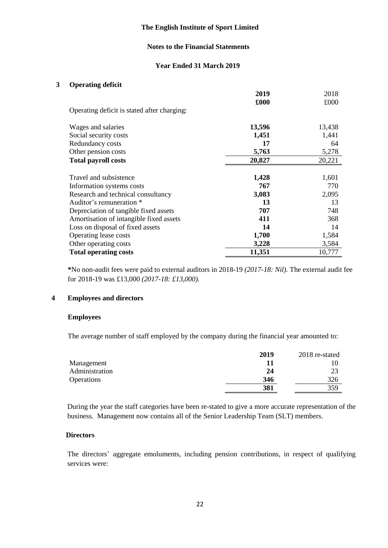## **Notes to the Financial Statements**

## **Year Ended 31 March 2019**

## **3 Operating deficit**

|                                             | 2019   | 2018   |
|---------------------------------------------|--------|--------|
|                                             | £000   | £000   |
| Operating deficit is stated after charging: |        |        |
| Wages and salaries                          | 13,596 | 13,438 |
| Social security costs                       | 1,451  | 1,441  |
| Redundancy costs                            | 17     | 64     |
| Other pension costs                         | 5,763  | 5,278  |
| <b>Total payroll costs</b>                  | 20,827 | 20,221 |
|                                             |        |        |
| Travel and subsistence                      | 1,428  | 1,601  |
| Information systems costs                   | 767    | 770    |
| Research and technical consultancy          | 3,083  | 2,095  |
| Auditor's remuneration *                    | 13     | 13     |
| Depreciation of tangible fixed assets       | 707    | 748    |
| Amortisation of intangible fixed assets     | 411    | 368    |
| Loss on disposal of fixed assets            | 14     | 14     |
| Operating lease costs                       | 1,700  | 1,584  |
| Other operating costs                       | 3,228  | 3,584  |
| <b>Total operating costs</b>                | 11,351 | 10,777 |

**\***No non-audit fees were paid to external auditors in 2018-19 *(2017-18: Nil).* The external audit fee for 2018-19 was £13,000 *(2017-18: £13,000).*

#### **4 Employees and directors**

#### **Employees**

The average number of staff employed by the company during the financial year amounted to:

|                | 2019 | 2018 re-stated |
|----------------|------|----------------|
| Management     | 11   |                |
| Administration | 24   | 23             |
| Operations     | 346  | 326            |
|                | 381  | 359            |

During the year the staff categories have been re-stated to give a more accurate representation of the business. Management now contains all of the Senior Leadership Team (SLT) members.

#### **Directors**

The directors' aggregate emoluments, including pension contributions, in respect of qualifying services were: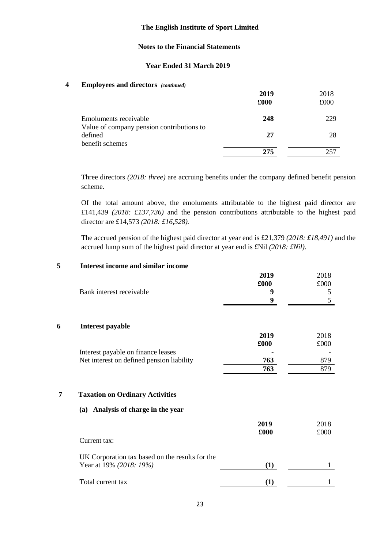## **Notes to the Financial Statements**

#### **Year Ended 31 March 2019**

#### **4 Employees and directors** *(continued)*

|                                                                    | 2019 | 2018 |
|--------------------------------------------------------------------|------|------|
|                                                                    | £000 | £000 |
| Emoluments receivable<br>Value of company pension contributions to | 248  | 229  |
| defined<br>benefit schemes                                         | 27   | 28   |
|                                                                    | 275  |      |

Three directors *(2018: three)* are accruing benefits under the company defined benefit pension scheme.

Of the total amount above, the emoluments attributable to the highest paid director are £141,439 *(2018: £137,736)* and the pension contributions attributable to the highest paid director are £14,573 *(2018: £16,528).*

The accrued pension of the highest paid director at year end is £21,379 *(2018: £18,491)* and the accrued lump sum of the highest paid director at year end is £Nil *(2018: £Nil).*

# **2019** 2018  **£000** £000 Bank interest receivable **9** 5 **9** 5  **6 Interest payable 2019** 2018  **£000** £000 Interest payable on finance leases **-** - Net interest on defined pension liability **763** 879 **763** 879 **7 Taxation on Ordinary Activities (a) Analysis of charge in the year 2019** 2018  **£000** £000 Current tax: UK Corporation tax based on the results for the Year at 19% *(2018: 19%)* **(1)** 1 Total current tax  $(1)$   $(2)$   $(3)$

#### **5 Interest income and similar income**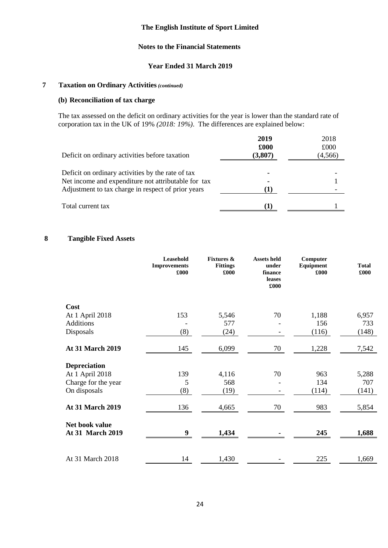## **Notes to the Financial Statements**

## **Year Ended 31 March 2019**

## **7 Taxation on Ordinary Activities***(continued)*

## **(b) Reconciliation of tax charge**

The tax assessed on the deficit on ordinary activities for the year is lower than the standard rate of corporation tax in the UK of 19% *(2018: 19%)*. The differences are explained below:

| Deficit on ordinary activities before taxation                                                                                                                 | 2019<br>£000<br>(3,807) | 2018<br>£000<br>(4, 566) |
|----------------------------------------------------------------------------------------------------------------------------------------------------------------|-------------------------|--------------------------|
| Deficit on ordinary activities by the rate of tax<br>Net income and expenditure not attributable for tax<br>Adjustment to tax charge in respect of prior years | ٠<br>۰<br>(T)           |                          |
| Total current tax                                                                                                                                              |                         |                          |

### **8 Tangible Fixed Assets**

|                                           | Leasehold<br><b>Improvements</b><br>£000 | <b>Fixtures &amp;</b><br><b>Fittings</b><br>£000 | <b>Assets held</b><br>under<br>finance<br>leases<br>£000 | Computer<br><b>Equipment</b><br>£000 | <b>Total</b><br>£000 |
|-------------------------------------------|------------------------------------------|--------------------------------------------------|----------------------------------------------------------|--------------------------------------|----------------------|
| Cost                                      |                                          |                                                  |                                                          |                                      |                      |
| At 1 April 2018                           | 153                                      | 5,546                                            | 70                                                       | 1,188                                | 6,957                |
| <b>Additions</b>                          |                                          | 577                                              |                                                          | 156                                  | 733                  |
| Disposals                                 | (8)                                      | (24)                                             |                                                          | (116)                                | (148)                |
| At 31 March 2019                          | 145                                      | 6,099                                            | 70                                                       | 1,228                                | 7,542                |
| <b>Depreciation</b>                       |                                          |                                                  |                                                          |                                      |                      |
| At 1 April 2018                           | 139                                      | 4,116                                            | 70                                                       | 963                                  | 5,288                |
| Charge for the year                       | 5                                        | 568                                              |                                                          | 134                                  | 707                  |
| On disposals                              | (8)                                      | (19)                                             |                                                          | (114)                                | (141)                |
| <b>At 31 March 2019</b>                   | 136                                      | 4,665                                            | 70                                                       | 983                                  | 5,854                |
| Net book value<br><b>At 31 March 2019</b> | $\boldsymbol{9}$                         | 1,434                                            |                                                          | 245                                  | 1,688                |
| At 31 March 2018                          | 14                                       | 1,430                                            |                                                          | 225                                  | 1,669                |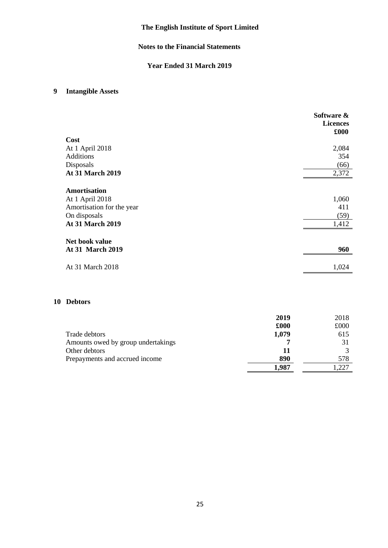## **Notes to the Financial Statements**

## **Year Ended 31 March 2019**

# **9 Intangible Assets**

|                           | Software &<br><b>Licences</b><br>£000 |
|---------------------------|---------------------------------------|
| Cost                      |                                       |
| At 1 April 2018           | 2,084                                 |
| <b>Additions</b>          | 354                                   |
| Disposals                 | (66)                                  |
| <b>At 31 March 2019</b>   | 2,372                                 |
| <b>Amortisation</b>       |                                       |
| At 1 April 2018           | 1,060                                 |
| Amortisation for the year | 411                                   |
| On disposals              | (59)                                  |
| <b>At 31 March 2019</b>   | 1,412                                 |
| Net book value            |                                       |
| <b>At 31 March 2019</b>   | 960                                   |
| At 31 March 2018          | 1,024                                 |

#### **10 Debtors**

|                                    | 2019  | 2018 |
|------------------------------------|-------|------|
|                                    | £000  | £000 |
| Trade debtors                      | 1,079 | 615  |
| Amounts owed by group undertakings |       | 31   |
| Other debtors                      | 11    |      |
| Prepayments and accrued income     | 890   | 578  |
|                                    | 1,987 |      |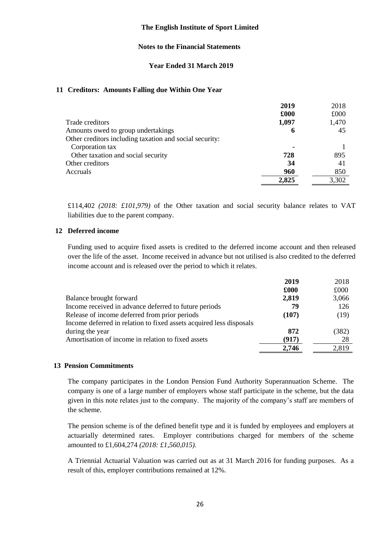## **Notes to the Financial Statements**

#### **Year Ended 31 March 2019**

#### **11 Creditors: Amounts Falling due Within One Year**

|                                                         | 2019         | 2018  |
|---------------------------------------------------------|--------------|-------|
|                                                         | $\pmb{.}600$ | £000  |
| Trade creditors                                         | 1,097        | 1,470 |
| Amounts owed to group undertakings                      | 6            | 45    |
| Other creditors including taxation and social security: |              |       |
| Corporation tax                                         |              |       |
| Other taxation and social security                      | 728          | 895   |
| Other creditors                                         | 34           | 41    |
| <b>Accruals</b>                                         | 960          | 850   |
|                                                         | 2,825        | 3,302 |

£114,402 *(2018: £101,979)* of the Other taxation and social security balance relates to VAT liabilities due to the parent company.

#### **12 Deferred income**

Funding used to acquire fixed assets is credited to the deferred income account and then released over the life of the asset. Income received in advance but not utilised is also credited to the deferred income account and is released over the period to which it relates.

|                                                                     | 2019  | 2018  |
|---------------------------------------------------------------------|-------|-------|
|                                                                     | £000  | £000  |
| Balance brought forward                                             | 2,819 | 3,066 |
| Income received in advance deferred to future periods               | 79    | 126   |
| Release of income deferred from prior periods                       | (107) | (19)  |
| Income deferred in relation to fixed assets acquired less disposals |       |       |
| during the year                                                     | 872   | (382) |
| Amortisation of income in relation to fixed assets                  | (917) | 28    |
|                                                                     | 2.746 | 2,819 |

#### **13 Pension Commitments**

The company participates in the London Pension Fund Authority Superannuation Scheme. The company is one of a large number of employers whose staff participate in the scheme, but the data given in this note relates just to the company. The majority of the company's staff are members of the scheme.

The pension scheme is of the defined benefit type and it is funded by employees and employers at actuarially determined rates. Employer contributions charged for members of the scheme amounted to £1,604,274 *(2018: £1,560,015).*

A Triennial Actuarial Valuation was carried out as at 31 March 2016 for funding purposes. As a result of this, employer contributions remained at 12%.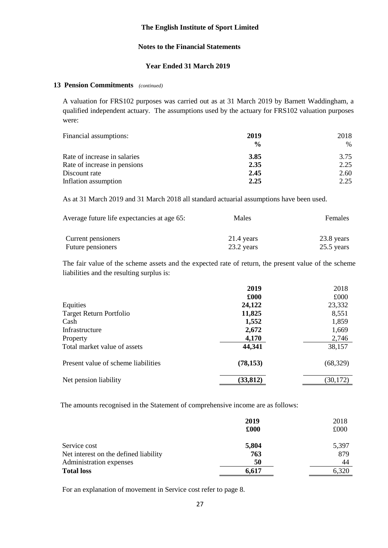## **Notes to the Financial Statements**

### **Year Ended 31 March 2019**

#### **13 Pension Commitments** *(continued)*

A valuation for FRS102 purposes was carried out as at 31 March 2019 by Barnett Waddingham, a qualified independent actuary. The assumptions used by the actuary for FRS102 valuation purposes were:

| Financial assumptions:       | 2019          | 2018 |
|------------------------------|---------------|------|
|                              | $\frac{0}{0}$ | $\%$ |
| Rate of increase in salaries | 3.85          | 3.75 |
| Rate of increase in pensions | 2.35          | 2.25 |
| Discount rate                | 2.45          | 2.60 |
| Inflation assumption         | 2.25          | 2.25 |

As at 31 March 2019 and 31 March 2018 all standard actuarial assumptions have been used.

| Average future life expectancies at age 65: | Males        | Females      |
|---------------------------------------------|--------------|--------------|
| Current pensioners                          | $21.4$ years | 23.8 years   |
| Future pensioners                           | 23.2 years   | $25.5$ years |

The fair value of the scheme assets and the expected rate of return, the present value of the scheme liabilities and the resulting surplus is:

|                                     | 2019               | 2018      |
|-------------------------------------|--------------------|-----------|
|                                     | $\pmb{\pounds}000$ | £000      |
| Equities                            | 24,122             | 23,332    |
| Target Return Portfolio             | 11,825             | 8,551     |
| Cash                                | 1,552              | 1,859     |
| Infrastructure                      | 2,672              | 1,669     |
| Property                            | 4,170              | 2,746     |
| Total market value of assets        | 44,341             | 38,157    |
| Present value of scheme liabilities | (78, 153)          | (68, 329) |
| Net pension liability               | (33, 812)          | (30, 172) |

The amounts recognised in the Statement of comprehensive income are as follows:

|                                       | 2019<br>$\pmb{.}6000$ | 2018<br>£000 |
|---------------------------------------|-----------------------|--------------|
| Service cost                          | 5,804                 | 5,397        |
| Net interest on the defined liability | 763                   | 879          |
| Administration expenses               | 50                    | 44           |
| <b>Total loss</b>                     | 6.617                 | 6,320        |

For an explanation of movement in Service cost refer to page 8.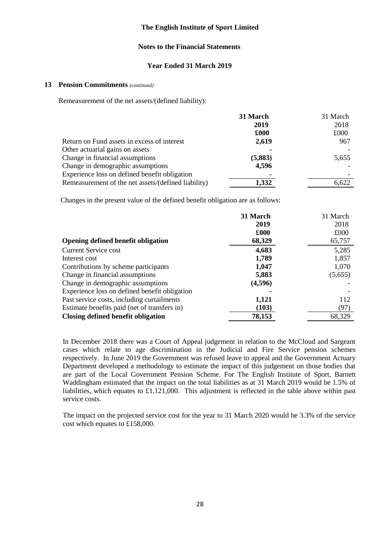## **Notes to the Financial Statements**

## **Year Ended 31 March 2019**

## **13 Pension Commitments** *(continued)*

Remeasurement of the net assets/(defined liability):

|                                                     | 31 March | 31 March |
|-----------------------------------------------------|----------|----------|
|                                                     | 2019     | 2018     |
|                                                     | £000     | £000     |
| Return on Fund assets in excess of interest         | 2,619    | 967      |
| Other actuarial gains on assets                     |          |          |
| Change in financial assumptions                     | (5, 883) | 5,655    |
| Change in demographic assumptions                   | 4,596    |          |
| Experience loss on defined benefit obligation       |          |          |
| Remeasurement of the net assets/(defined liability) | 1,332    | 6,622    |

Changes in the present value of the defined benefit obligation are as follows:

|                                               | 31 March | 31 March |
|-----------------------------------------------|----------|----------|
|                                               | 2019     | 2018     |
|                                               | £000     | £000     |
| <b>Opening defined benefit obligation</b>     | 68,329   | 65,757   |
| <b>Current Service cost</b>                   | 4,683    | 5,285    |
| Interest cost                                 | 1,789    | 1,857    |
| Contributions by scheme participants          | 1,047    | 1,070    |
| Change in financial assumptions               | 5,883    | (5,655)  |
| Change in demographic assumptions             | (4,596)  |          |
| Experience loss on defined benefit obligation |          |          |
| Past service costs, including curtailments    | 1,121    | 112      |
| Estimate benefits paid (net of transfers in)  | (103)    | (97)     |
| Closing defined benefit obligation            | 78,153   | 68,329   |

In December 2018 there was a Court of Appeal judgement in relation to the McCloud and Sargeant cases which relate to age discrimination in the Judicial and Fire Service pension schemes respectively. In June 2019 the Government was refused leave to appeal and the Government Actuary Department developed a methodology to estimate the impact of this judgement on those bodies that are part of the Local Government Pension Scheme. For The English Institute of Sport, Barnett Waddingham estimated that the impact on the total liabilities as at 31 March 2019 would be 1.5% of liabilities, which equates to £1,121,000. This adjustment is reflected in the table above within past service costs.

The impact on the projected service cost for the year to 31 March 2020 would be 3.3% of the service cost which equates to £158,000.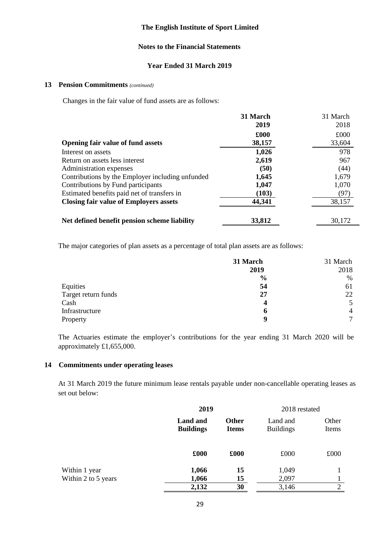## **Notes to the Financial Statements**

## **Year Ended 31 March 2019**

## **13 Pension Commitments** *(continued)*

Changes in the fair value of fund assets are as follows:

|                                                  | 31 March | 31 March |
|--------------------------------------------------|----------|----------|
|                                                  | 2019     | 2018     |
|                                                  | £000     | £000     |
| <b>Opening fair value of fund assets</b>         | 38,157   | 33,604   |
| Interest on assets                               | 1,026    | 978      |
| Return on assets less interest                   | 2,619    | 967      |
| Administration expenses                          | (50)     | (44)     |
| Contributions by the Employer including unfunded | 1,645    | 1,679    |
| Contributions by Fund participants               | 1,047    | 1,070    |
| Estimated benefits paid net of transfers in      | (103)    | (97)     |
| <b>Closing fair value of Employers assets</b>    | 44,341   | 38,157   |
|                                                  |          |          |
| Net defined benefit pension scheme liability     | 33,812   | 30,172   |

The major categories of plan assets as a percentage of total plan assets are as follows:

|                     | 31 March      | 31 March       |
|---------------------|---------------|----------------|
|                     | 2019          | 2018           |
|                     | $\frac{6}{6}$ | %              |
| Equities            | 54            | 61             |
| Target return funds | 27            | 22             |
| Cash                | 4             | 5              |
| Infrastructure      | 6             | $\overline{4}$ |
| Property            | 9             | $\tau$         |

The Actuaries estimate the employer's contributions for the year ending 31 March 2020 will be approximately £1,655,000.

## **14 Commitments under operating leases**

At 31 March 2019 the future minimum lease rentals payable under non-cancellable operating leases as set out below:

|                     | 2019                                |                              | 2018 restated                |                |
|---------------------|-------------------------------------|------------------------------|------------------------------|----------------|
|                     | <b>Land and</b><br><b>Buildings</b> | <b>Other</b><br><b>Items</b> | Land and<br><b>Buildings</b> | Other<br>Items |
|                     | £000                                | £000                         | £000                         | £000           |
| Within 1 year       | 1,066                               | 15                           | 1,049                        |                |
| Within 2 to 5 years | 1,066                               | 15                           | 2,097                        |                |
|                     | 2,132                               | 30                           | 3,146                        | 2              |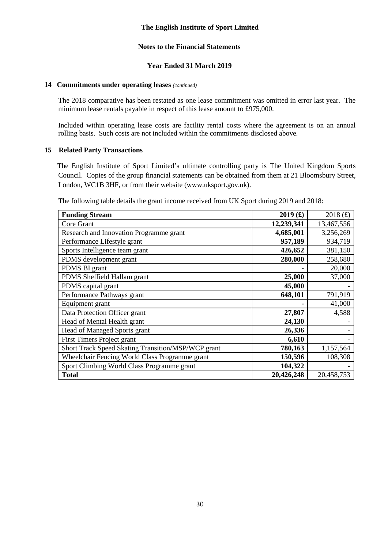## **Notes to the Financial Statements**

## **Year Ended 31 March 2019**

## **14 Commitments under operating leases** *(continued)*

The 2018 comparative has been restated as one lease commitment was omitted in error last year. The minimum lease rentals payable in respect of this lease amount to £975,000.

Included within operating lease costs are facility rental costs where the agreement is on an annual rolling basis. Such costs are not included within the commitments disclosed above.

#### **15 Related Party Transactions**

 The English Institute of Sport Limited's ultimate controlling party is The United Kingdom Sports Council. Copies of the group financial statements can be obtained from them at 21 Bloomsbury Street, London, WC1B 3HF, or from their website (www.uksport.gov.uk).

The following table details the grant income received from UK Sport during 2019 and 2018:

| <b>Funding Stream</b>                              | 2019(f)    | 2018 $(f)$ |
|----------------------------------------------------|------------|------------|
| Core Grant                                         | 12,239,341 | 13,467,556 |
| Research and Innovation Programme grant            | 4,685,001  | 3,256,269  |
| Performance Lifestyle grant                        | 957,189    | 934,719    |
| Sports Intelligence team grant                     | 426,652    | 381,150    |
| PDMS development grant                             | 280,000    | 258,680    |
| PDMS BI grant                                      |            | 20,000     |
| PDMS Sheffield Hallam grant                        | 25,000     | 37,000     |
| PDMS capital grant                                 | 45,000     |            |
| Performance Pathways grant                         | 648,101    | 791,919    |
| Equipment grant                                    |            | 41,000     |
| Data Protection Officer grant                      | 27,807     | 4,588      |
| Head of Mental Health grant                        | 24,130     |            |
| Head of Managed Sports grant                       | 26,336     |            |
| <b>First Timers Project grant</b>                  | 6,610      |            |
| Short Track Speed Skating Transition/MSP/WCP grant | 780,163    | 1,157,564  |
| Wheelchair Fencing World Class Programme grant     | 150,596    | 108,308    |
| Sport Climbing World Class Programme grant         | 104,322    |            |
| <b>Total</b>                                       | 20,426,248 | 20,458,753 |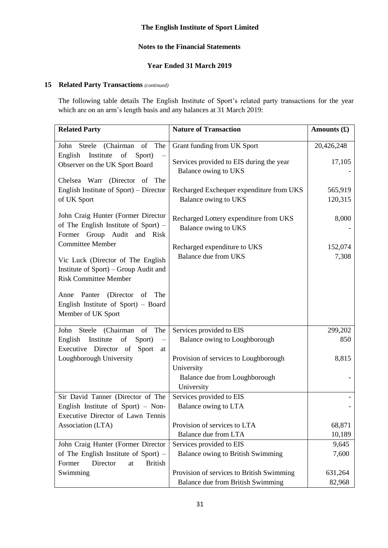## **Notes to the Financial Statements**

## **Year Ended 31 March 2019**

## **15 Related Party Transactions** *(continued)*

The following table details The English Institute of Sport's related party transactions for the year which are on an arm's length basis and any balances at 31 March 2019:

| <b>Related Party</b>                                                                                       | <b>Nature of Transaction</b>                                     | Amounts $(\mathbf{\pounds})$ |
|------------------------------------------------------------------------------------------------------------|------------------------------------------------------------------|------------------------------|
| Steele (Chairman of<br>The<br>John                                                                         | Grant funding from UK Sport                                      | 20,426,248                   |
| English<br>Institute<br>of<br>Sport)<br>Observer on the UK Sport Board                                     | Services provided to EIS during the year<br>Balance owing to UKS | 17,105                       |
| Chelsea Warr (Director of The                                                                              |                                                                  |                              |
| English Institute of Sport) - Director<br>of UK Sport                                                      | Recharged Exchequer expenditure from UKS<br>Balance owing to UKS | 565,919<br>120,315           |
| John Craig Hunter (Former Director<br>of The English Institute of Sport) -<br>Former Group Audit and Risk  | Recharged Lottery expenditure from UKS<br>Balance owing to UKS   | 8,000                        |
| <b>Committee Member</b>                                                                                    | Recharged expenditure to UKS                                     | 152,074                      |
| Vic Luck (Director of The English<br>Institute of Sport) – Group Audit and<br><b>Risk Committee Member</b> | Balance due from UKS                                             | 7,308                        |
| Panter<br>(Director<br>The<br>Anne<br>of<br>English Institute of Sport) - Board<br>Member of UK Sport      |                                                                  |                              |
| John Steele (Chairman<br>of<br>The                                                                         | Services provided to EIS                                         | 299,202                      |
| English<br>Institute<br>of<br>Sport)<br>Executive Director of<br>Sport<br>at                               | Balance owing to Loughborough                                    | 850                          |
| Loughborough University                                                                                    | Provision of services to Loughborough                            | 8,815                        |
|                                                                                                            | University<br>Balance due from Loughborough<br>University        |                              |
| Sir David Tanner (Director of The                                                                          | Services provided to EIS                                         |                              |
| English Institute of Sport) - Non-                                                                         | Balance owing to LTA                                             |                              |
| Executive Director of Lawn Tennis                                                                          |                                                                  |                              |
| Association (LTA)                                                                                          | Provision of services to LTA                                     | 68,871                       |
|                                                                                                            | Balance due from LTA                                             | 10,189                       |
| John Craig Hunter (Former Director                                                                         | Services provided to EIS                                         | 9,645                        |
| of The English Institute of Sport) -                                                                       | Balance owing to British Swimming                                | 7,600                        |
| Director<br>Former<br><b>British</b><br>at<br>Swimming                                                     | Provision of services to British Swimming                        | 631,264                      |
|                                                                                                            | Balance due from British Swimming                                | 82,968                       |
|                                                                                                            |                                                                  |                              |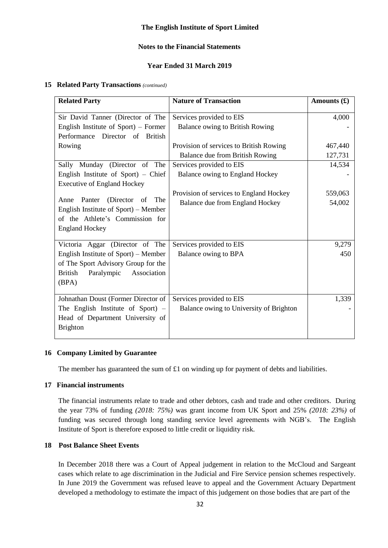## **Notes to the Financial Statements**

## **Year Ended 31 March 2019**

### **15 Related Party Transactions** *(continued)*

| <b>Related Party</b>                                                    | <b>Nature of Transaction</b>            | Amounts $(\mathbf{\pounds})$ |
|-------------------------------------------------------------------------|-----------------------------------------|------------------------------|
| Sir David Tanner (Director of The                                       | Services provided to EIS                | 4,000                        |
| English Institute of Sport) – Former                                    | Balance owing to British Rowing         |                              |
| Performance Director of British                                         |                                         |                              |
| Rowing                                                                  | Provision of services to British Rowing | 467,440                      |
|                                                                         | Balance due from British Rowing         | 127,731                      |
| Sally Munday (Director of The                                           | Services provided to EIS                | 14,534                       |
| English Institute of Sport) - Chief                                     | Balance owing to England Hockey         |                              |
| <b>Executive of England Hockey</b>                                      |                                         |                              |
|                                                                         | Provision of services to England Hockey | 559,063                      |
| (Director of<br>Panter<br>The<br>Anne                                   | Balance due from England Hockey         | 54,002                       |
| English Institute of Sport) – Member<br>of the Athlete's Commission for |                                         |                              |
|                                                                         |                                         |                              |
| <b>England Hockey</b>                                                   |                                         |                              |
| Victoria Aggar (Director of The                                         | Services provided to EIS                | 9,279                        |
| English Institute of Sport) – Member                                    | Balance owing to BPA                    | 450                          |
| of The Sport Advisory Group for the                                     |                                         |                              |
| <b>British</b><br>Paralympic<br>Association                             |                                         |                              |
| (BPA)                                                                   |                                         |                              |
|                                                                         |                                         |                              |
| Johnathan Doust (Former Director of                                     | Services provided to EIS                | 1,339                        |
| The English Institute of Sport) -                                       | Balance owing to University of Brighton |                              |
| Head of Department University of                                        |                                         |                              |
| <b>Brighton</b>                                                         |                                         |                              |

## **16 Company Limited by Guarantee**

The member has guaranteed the sum of £1 on winding up for payment of debts and liabilities.

#### **17 Financial instruments**

The financial instruments relate to trade and other debtors, cash and trade and other creditors. During the year 73% of funding *(2018: 75%)* was grant income from UK Sport and 25% *(2018: 23%)* of funding was secured through long standing service level agreements with NGB's. The English Institute of Sport is therefore exposed to little credit or liquidity risk.

### **18 Post Balance Sheet Events**

In December 2018 there was a Court of Appeal judgement in relation to the McCloud and Sargeant cases which relate to age discrimination in the Judicial and Fire Service pension schemes respectively. In June 2019 the Government was refused leave to appeal and the Government Actuary Department developed a methodology to estimate the impact of this judgement on those bodies that are part of the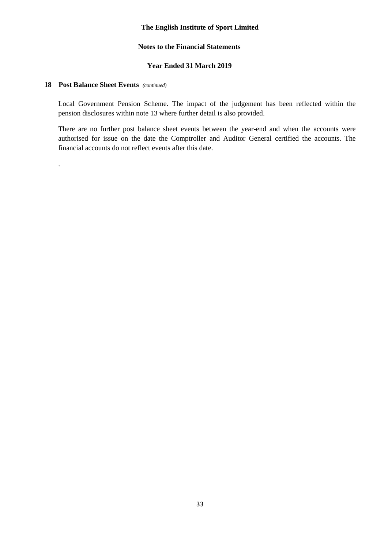## **Notes to the Financial Statements**

## **Year Ended 31 March 2019**

#### **18 Post Balance Sheet Events** *(continued)*

.

Local Government Pension Scheme. The impact of the judgement has been reflected within the pension disclosures within note 13 where further detail is also provided.

There are no further post balance sheet events between the year-end and when the accounts were authorised for issue on the date the Comptroller and Auditor General certified the accounts. The financial accounts do not reflect events after this date.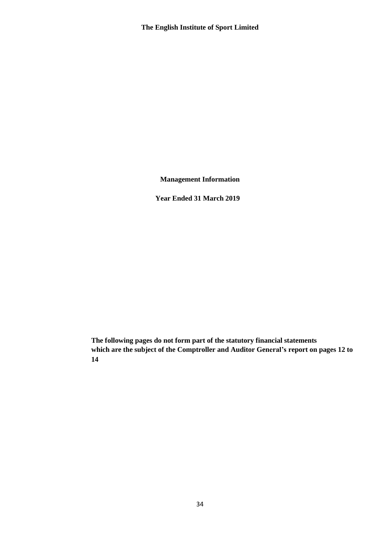**Management Information**

 **Year Ended 31 March 2019**

**The following pages do not form part of the statutory financial statements which are the subject of the Comptroller and Auditor General's report on pages 12 to 14**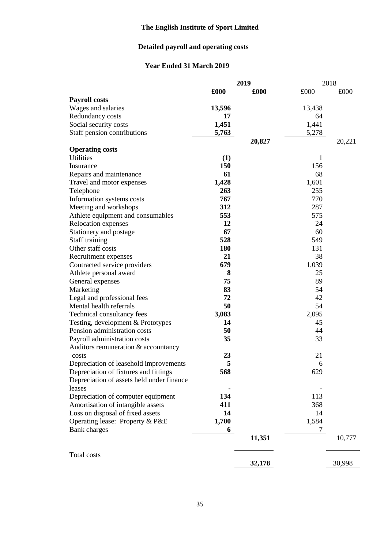# **Detailed payroll and operating costs**

# **Year Ended 31 March 2019**

|                                           |        | 2019   |        | 2018   |
|-------------------------------------------|--------|--------|--------|--------|
|                                           | £000   | £000   | £000   | £000   |
| <b>Payroll costs</b>                      |        |        |        |        |
| Wages and salaries                        | 13,596 |        | 13,438 |        |
| Redundancy costs                          | 17     |        | 64     |        |
| Social security costs                     | 1,451  |        | 1,441  |        |
| Staff pension contributions               | 5,763  |        | 5,278  |        |
|                                           |        | 20,827 |        | 20,221 |
| <b>Operating costs</b>                    |        |        |        |        |
| <b>Utilities</b>                          | (1)    |        | 1      |        |
| Insurance                                 | 150    |        | 156    |        |
| Repairs and maintenance                   | 61     |        | 68     |        |
| Travel and motor expenses                 | 1,428  |        | 1,601  |        |
| Telephone                                 | 263    |        | 255    |        |
| Information systems costs                 | 767    |        | 770    |        |
| Meeting and workshops                     | 312    |        | 287    |        |
| Athlete equipment and consumables         | 553    |        | 575    |        |
| Relocation expenses                       | 12     |        | 24     |        |
| Stationery and postage                    | 67     |        | 60     |        |
| Staff training                            | 528    |        | 549    |        |
| Other staff costs                         | 180    |        | 131    |        |
| Recruitment expenses                      | 21     |        | 38     |        |
| Contracted service providers              | 679    |        | 1,039  |        |
| Athlete personal award                    | 8      |        | 25     |        |
| General expenses                          | 75     |        | 89     |        |
| Marketing                                 | 83     |        | 54     |        |
| Legal and professional fees               | 72     |        | 42     |        |
| Mental health referrals                   | 50     |        | 54     |        |
| Technical consultancy fees                | 3,083  |        | 2,095  |        |
| Testing, development & Prototypes         | 14     |        | 45     |        |
| Pension administration costs              | 50     |        | 44     |        |
| Payroll administration costs              | 35     |        | 33     |        |
| Auditors remuneration & accountancy       |        |        |        |        |
| costs                                     | 23     |        | 21     |        |
| Depreciation of leasehold improvements    | 5      |        | 6      |        |
| Depreciation of fixtures and fittings     | 568    |        | 629    |        |
| Depreciation of assets held under finance |        |        |        |        |
| leases                                    |        |        |        |        |
| Depreciation of computer equipment        | 134    |        | 113    |        |
|                                           | 411    |        |        |        |
| Amortisation of intangible assets         |        |        | 368    |        |
| Loss on disposal of fixed assets          | 14     |        | 14     |        |
| Operating lease: Property & P&E           | 1,700  |        | 1,584  |        |
| <b>Bank</b> charges                       | 6      |        | 7      |        |
|                                           |        | 11,351 |        | 10,777 |
|                                           |        |        |        |        |
| Total costs                               |        |        |        |        |
|                                           |        | 32,178 |        | 30,998 |